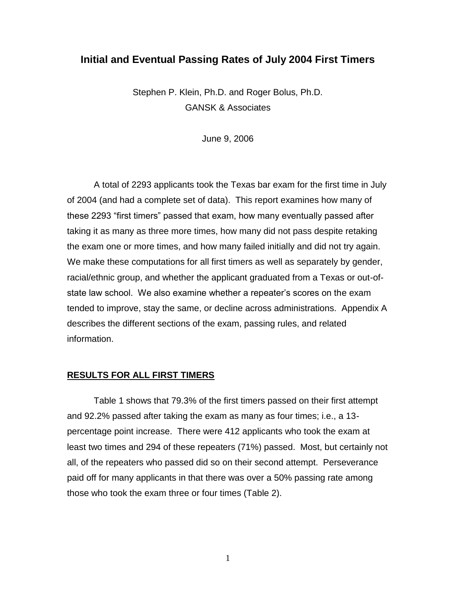# **Initial and Eventual Passing Rates of July 2004 First Timers**

Stephen P. Klein, Ph.D. and Roger Bolus, Ph.D. GANSK & Associates

June 9, 2006

A total of 2293 applicants took the Texas bar exam for the first time in July of 2004 (and had a complete set of data). This report examines how many of these 2293 "first timers" passed that exam, how many eventually passed after taking it as many as three more times, how many did not pass despite retaking the exam one or more times, and how many failed initially and did not try again. We make these computations for all first timers as well as separately by gender, racial/ethnic group, and whether the applicant graduated from a Texas or out-ofstate law school. We also examine whether a repeater's scores on the exam tended to improve, stay the same, or decline across administrations. Appendix A describes the different sections of the exam, passing rules, and related information.

#### **RESULTS FOR ALL FIRST TIMERS**

Table 1 shows that 79.3% of the first timers passed on their first attempt and 92.2% passed after taking the exam as many as four times; i.e., a 13 percentage point increase. There were 412 applicants who took the exam at least two times and 294 of these repeaters (71%) passed. Most, but certainly not all, of the repeaters who passed did so on their second attempt. Perseverance paid off for many applicants in that there was over a 50% passing rate among those who took the exam three or four times (Table 2).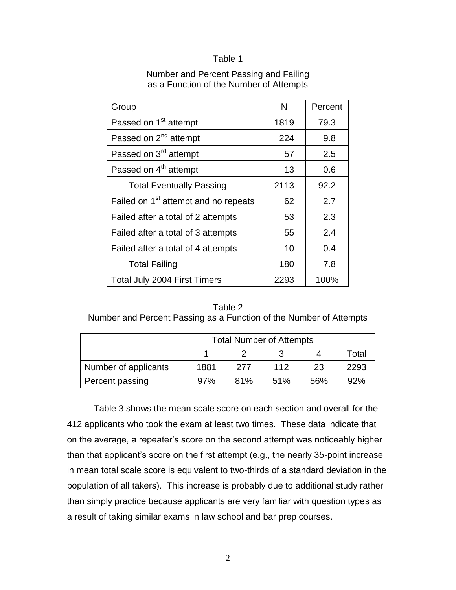#### Table 1

#### Number and Percent Passing and Failing as a Function of the Number of Attempts

| Group                                            | N    | Percent |
|--------------------------------------------------|------|---------|
| Passed on 1 <sup>st</sup> attempt                | 1819 | 79.3    |
| Passed on 2 <sup>nd</sup> attempt                | 224  | 9.8     |
| Passed on 3 <sup>rd</sup> attempt                | 57   | 2.5     |
| Passed on 4 <sup>th</sup> attempt                | 13   | 0.6     |
| <b>Total Eventually Passing</b>                  | 2113 | 92.2    |
| Failed on 1 <sup>st</sup> attempt and no repeats | 62   | 2.7     |
| Failed after a total of 2 attempts               | 53   | 2.3     |
| Failed after a total of 3 attempts               | 55   | 2.4     |
| Failed after a total of 4 attempts               | 10   | 0.4     |
| <b>Total Failing</b>                             | 180  | 7.8     |
| Total July 2004 First Timers                     | 2293 | 100%    |

| Table 2                                                            |  |
|--------------------------------------------------------------------|--|
| Number and Percent Passing as a Function of the Number of Attempts |  |

|                      | <b>Total Number of Attempts</b> |     |     |     |       |
|----------------------|---------------------------------|-----|-----|-----|-------|
|                      |                                 |     | ູ   |     | Total |
| Number of applicants | 1881                            | 277 | 112 | 23  | 2293  |
| Percent passing      | 97%                             | 81% | 51% | 56% | 92%   |

Table 3 shows the mean scale score on each section and overall for the 412 applicants who took the exam at least two times. These data indicate that on the average, a repeater's score on the second attempt was noticeably higher than that applicant's score on the first attempt (e.g., the nearly 35-point increase in mean total scale score is equivalent to two-thirds of a standard deviation in the population of all takers). This increase is probably due to additional study rather than simply practice because applicants are very familiar with question types as a result of taking similar exams in law school and bar prep courses.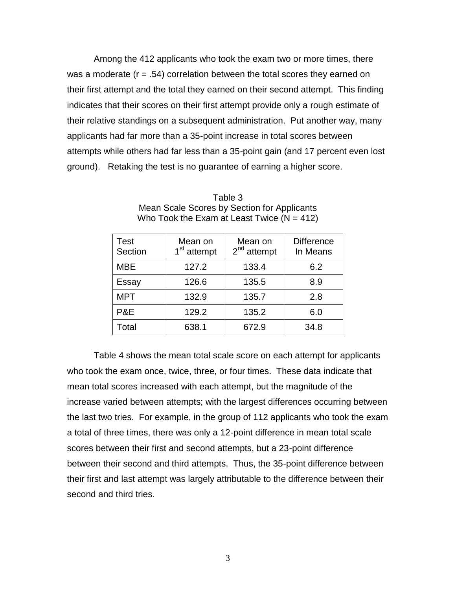Among the 412 applicants who took the exam two or more times, there was a moderate (r = .54) correlation between the total scores they earned on their first attempt and the total they earned on their second attempt. This finding indicates that their scores on their first attempt provide only a rough estimate of their relative standings on a subsequent administration. Put another way, many applicants had far more than a 35-point increase in total scores between attempts while others had far less than a 35-point gain (and 17 percent even lost ground). Retaking the test is no guarantee of earning a higher score.

| Test<br>Section | Mean on<br>1 <sup>st</sup> attempt | Mean on<br>$2nd$ attempt | <b>Difference</b><br>In Means |
|-----------------|------------------------------------|--------------------------|-------------------------------|
| MBE             | 127.2                              | 133.4                    | 6.2                           |
| Essay           | 126.6                              | 135.5                    | 8.9                           |
| <b>MPT</b>      | 132.9                              | 135.7                    | 2.8                           |
| P&E             | 129.2                              | 135.2                    | 6.0                           |
| Total           | 638.1                              | 672.9                    | 34.8                          |

Table 3 Mean Scale Scores by Section for Applicants Who Took the Exam at Least Twice  $(N = 412)$ 

Table 4 shows the mean total scale score on each attempt for applicants who took the exam once, twice, three, or four times. These data indicate that mean total scores increased with each attempt, but the magnitude of the increase varied between attempts; with the largest differences occurring between the last two tries. For example, in the group of 112 applicants who took the exam a total of three times, there was only a 12-point difference in mean total scale scores between their first and second attempts, but a 23-point difference between their second and third attempts. Thus, the 35-point difference between their first and last attempt was largely attributable to the difference between their second and third tries.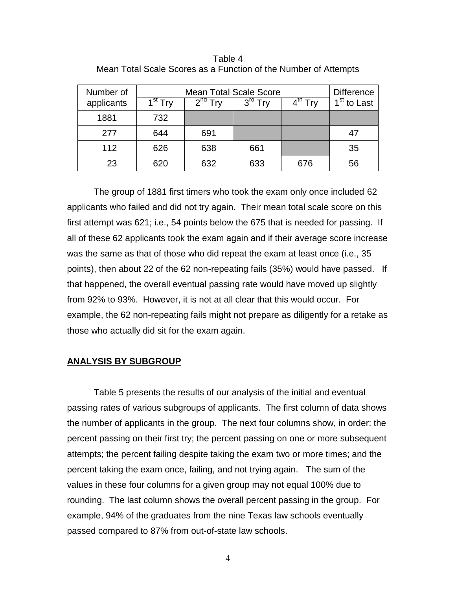| Number of<br>applicants | <b>Mean Total Scale Score</b><br>$1st$ Try | <b>Difference</b><br>1 <sup>st</sup> to Last |     |     |    |
|-------------------------|--------------------------------------------|----------------------------------------------|-----|-----|----|
| 1881                    | 732                                        |                                              |     |     |    |
| 277                     | 644                                        | 691                                          |     |     | 47 |
| 112                     | 626                                        | 638                                          | 661 |     | 35 |
| 23                      | 620                                        | 632                                          | 633 | 676 | 56 |

Table 4 Mean Total Scale Scores as a Function of the Number of Attempts

The group of 1881 first timers who took the exam only once included 62 applicants who failed and did not try again. Their mean total scale score on this first attempt was 621; i.e., 54 points below the 675 that is needed for passing. If all of these 62 applicants took the exam again and if their average score increase was the same as that of those who did repeat the exam at least once (i.e., 35 points), then about 22 of the 62 non-repeating fails (35%) would have passed. If that happened, the overall eventual passing rate would have moved up slightly from 92% to 93%. However, it is not at all clear that this would occur. For example, the 62 non-repeating fails might not prepare as diligently for a retake as those who actually did sit for the exam again.

#### **ANALYSIS BY SUBGROUP**

Table 5 presents the results of our analysis of the initial and eventual passing rates of various subgroups of applicants. The first column of data shows the number of applicants in the group. The next four columns show, in order: the percent passing on their first try; the percent passing on one or more subsequent attempts; the percent failing despite taking the exam two or more times; and the percent taking the exam once, failing, and not trying again. The sum of the values in these four columns for a given group may not equal 100% due to rounding. The last column shows the overall percent passing in the group. For example, 94% of the graduates from the nine Texas law schools eventually passed compared to 87% from out-of-state law schools.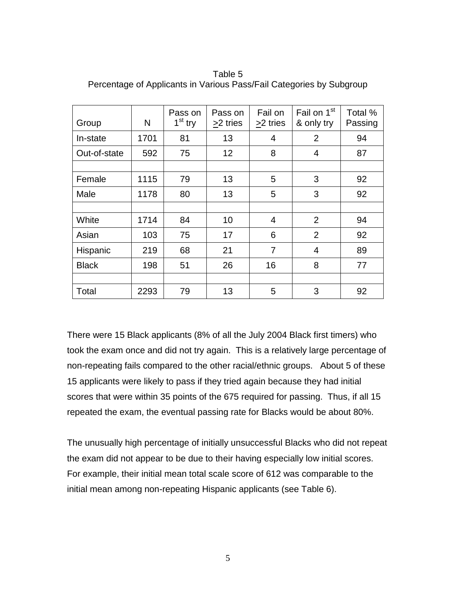| Group        | N    | Pass on<br>$1st$ try | Pass on<br>>2 tries | Fail on<br>>2 tries | Fail on 1 <sup>st</sup><br>& only try | Total %<br>Passing |
|--------------|------|----------------------|---------------------|---------------------|---------------------------------------|--------------------|
| In-state     | 1701 | 81                   | 13                  | 4                   | $\overline{2}$                        | 94                 |
| Out-of-state | 592  | 75                   | 12                  | 8                   | 4                                     | 87                 |
|              |      |                      |                     |                     |                                       |                    |
| Female       | 1115 | 79                   | 13                  | 5                   | 3                                     | 92                 |
| Male         | 1178 | 80                   | 13                  | 5                   | 3                                     | 92                 |
|              |      |                      |                     |                     |                                       |                    |
| White        | 1714 | 84                   | 10                  | $\overline{4}$      | 2                                     | 94                 |
| Asian        | 103  | 75                   | 17                  | 6                   | $\overline{2}$                        | 92                 |
| Hispanic     | 219  | 68                   | 21                  | 7                   | 4                                     | 89                 |
| <b>Black</b> | 198  | 51                   | 26                  | 16                  | 8                                     | 77                 |
|              |      |                      |                     |                     |                                       |                    |
| Total        | 2293 | 79                   | 13                  | 5                   | 3                                     | 92                 |

Table 5 Percentage of Applicants in Various Pass/Fail Categories by Subgroup

There were 15 Black applicants (8% of all the July 2004 Black first timers) who took the exam once and did not try again. This is a relatively large percentage of non-repeating fails compared to the other racial/ethnic groups. About 5 of these 15 applicants were likely to pass if they tried again because they had initial scores that were within 35 points of the 675 required for passing. Thus, if all 15 repeated the exam, the eventual passing rate for Blacks would be about 80%.

The unusually high percentage of initially unsuccessful Blacks who did not repeat the exam did not appear to be due to their having especially low initial scores. For example, their initial mean total scale score of 612 was comparable to the initial mean among non-repeating Hispanic applicants (see Table 6).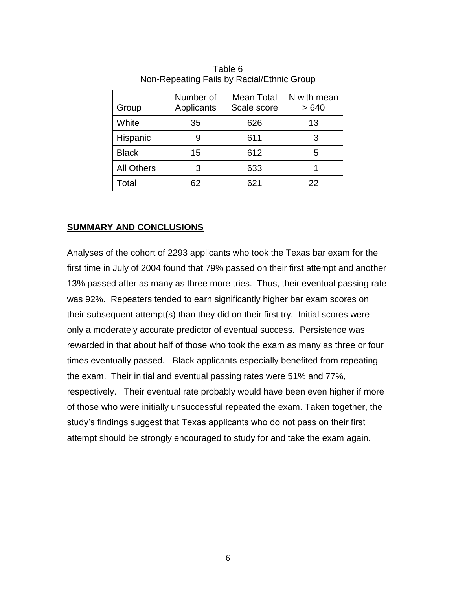| Group             | Number of<br>Applicants | Mean Total<br>Scale score | N with mean<br>>640 |
|-------------------|-------------------------|---------------------------|---------------------|
| White             | 35                      | 626                       | 13                  |
| Hispanic          | 9                       | 611                       | 3                   |
| <b>Black</b>      | 15                      | 612                       | 5                   |
| <b>All Others</b> | 3                       | 633                       |                     |
| Total             | 62                      | 621                       | 22                  |
|                   |                         |                           |                     |

Table 6 Non-Repeating Fails by Racial/Ethnic Group

# **SUMMARY AND CONCLUSIONS**

Analyses of the cohort of 2293 applicants who took the Texas bar exam for the first time in July of 2004 found that 79% passed on their first attempt and another 13% passed after as many as three more tries. Thus, their eventual passing rate was 92%. Repeaters tended to earn significantly higher bar exam scores on their subsequent attempt(s) than they did on their first try. Initial scores were only a moderately accurate predictor of eventual success. Persistence was rewarded in that about half of those who took the exam as many as three or four times eventually passed. Black applicants especially benefited from repeating the exam. Their initial and eventual passing rates were 51% and 77%, respectively. Their eventual rate probably would have been even higher if more of those who were initially unsuccessful repeated the exam. Taken together, the study's findings suggest that Texas applicants who do not pass on their first attempt should be strongly encouraged to study for and take the exam again.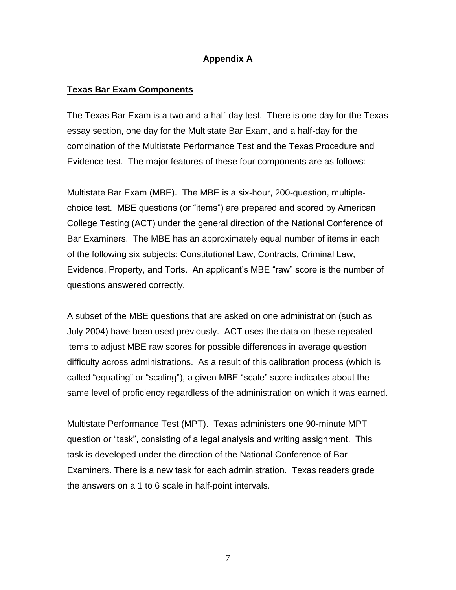## **Appendix A**

### **Texas Bar Exam Components**

The Texas Bar Exam is a two and a half-day test. There is one day for the Texas essay section, one day for the Multistate Bar Exam, and a half-day for the combination of the Multistate Performance Test and the Texas Procedure and Evidence test. The major features of these four components are as follows:

Multistate Bar Exam (MBE). The MBE is a six-hour, 200-question, multiplechoice test. MBE questions (or "items") are prepared and scored by American College Testing (ACT) under the general direction of the National Conference of Bar Examiners. The MBE has an approximately equal number of items in each of the following six subjects: Constitutional Law, Contracts, Criminal Law, Evidence, Property, and Torts. An applicant's MBE "raw" score is the number of questions answered correctly.

A subset of the MBE questions that are asked on one administration (such as July 2004) have been used previously. ACT uses the data on these repeated items to adjust MBE raw scores for possible differences in average question difficulty across administrations. As a result of this calibration process (which is called "equating" or "scaling"), a given MBE "scale" score indicates about the same level of proficiency regardless of the administration on which it was earned.

Multistate Performance Test (MPT). Texas administers one 90-minute MPT question or "task", consisting of a legal analysis and writing assignment. This task is developed under the direction of the National Conference of Bar Examiners. There is a new task for each administration. Texas readers grade the answers on a 1 to 6 scale in half-point intervals.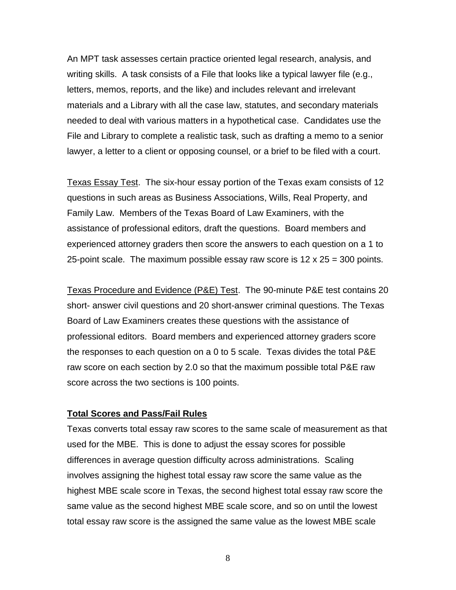An MPT task assesses certain practice oriented legal research, analysis, and writing skills. A task consists of a File that looks like a typical lawyer file (e.g., letters, memos, reports, and the like) and includes relevant and irrelevant materials and a Library with all the case law, statutes, and secondary materials needed to deal with various matters in a hypothetical case. Candidates use the File and Library to complete a realistic task, such as drafting a memo to a senior lawyer, a letter to a client or opposing counsel, or a brief to be filed with a court.

Texas Essay Test. The six-hour essay portion of the Texas exam consists of 12 questions in such areas as Business Associations, Wills, Real Property, and Family Law. Members of the Texas Board of Law Examiners, with the assistance of professional editors, draft the questions. Board members and experienced attorney graders then score the answers to each question on a 1 to 25-point scale. The maximum possible essay raw score is  $12 \times 25 = 300$  points.

Texas Procedure and Evidence (P&E) Test. The 90-minute P&E test contains 20 short- answer civil questions and 20 short-answer criminal questions. The Texas Board of Law Examiners creates these questions with the assistance of professional editors. Board members and experienced attorney graders score the responses to each question on a 0 to 5 scale. Texas divides the total P&E raw score on each section by 2.0 so that the maximum possible total P&E raw score across the two sections is 100 points.

### **Total Scores and Pass/Fail Rules**

Texas converts total essay raw scores to the same scale of measurement as that used for the MBE. This is done to adjust the essay scores for possible differences in average question difficulty across administrations. Scaling involves assigning the highest total essay raw score the same value as the highest MBE scale score in Texas, the second highest total essay raw score the same value as the second highest MBE scale score, and so on until the lowest total essay raw score is the assigned the same value as the lowest MBE scale